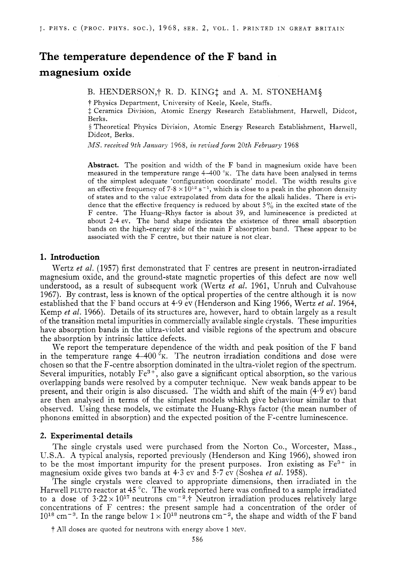# **The temperature dependence of the F band in magnesium oxide**

B. HEXDERSON,? R. D. KING: and **A.** M. STONEHAM\$

t Physics Department, University of Keele, Keele, Staffs.

\$ Ceramics Division, Atomic Energy Research Establishment, Harwell, Didcot, Berks.

**<sup>9</sup>**Theoretical Physics Division, Atomic Energy Research Establishment, Harwell, Didcot, Berks.

*MS. receiced* 9th *January* 1968, *in yevised form* 20th *February* 1968

**Abstract.** The position and width of the F band in magnesium oxide have been measured in the temperature range  $4-400$  °K. The data have been analysed in terms of the simplest adequate 'configuration coordinate' model. The width results give an effective frequency of  $7.8 \times 10^{12}$  s<sup>-1</sup>, which is close to a peak in the phonon density of states and to the value extrapolated from data for the alkali halides. There is evidence that the effective frequency is reduced by about 5 *"4* in the excited state of the F centre. The Huang-Rhys factor is about 39, and luminescence is predicted at about 2.4 ev. The band shape indicates the existence of three small absorption bands on the high-energy side of the main F absorption band. These appear to be associated with the F centre, but their nature is not clear.

### **1. Introduction**

Wertz *et al.* (1957) first demonstrated that F centres are present in neutron-irradiated magnesium oxide, and the ground-state magnetic properties of this defect are now well understood, as a result of subsequent work (Wertz *et al.* 1961, Unruh and Culvahouse 1967). By contrast, less is known of the optical properties of the centre although it is now established that the F band occurs at 4.9 ev (Henderson and King 1966, Wertz *et al.* 1964, Kemp *et al.* 1966). Details of its structures are, however, hard to obtain largely as a result of the transition metal impurities in commercially available single crystals. These impurities have absorption bands in the ultra-violet and visible regions of the spectrum and obscure the absorption by intrinsic lattice defects.

We report the temperature dependence of the width and peak position of the F band in the temperature range  $4-400 \text{°K}$ . The neutron irradiation conditions and dose were chosen so that the F-centre absorption dominated in the ultra-violet region of the spectrum. Several impurities, notably  $Fe^{3+}$ , also gave a significant optical absorption, so the various overlapping bands were resolved by a computer technique. New weak bands appear to be present, and their origin is also discussed. The width and shift of the main  $(4.9 \text{ eV})$  band are then analysed in terms of the simplest models which give behaviour similar to that observed. Using these models, we estimate the Huang-Rhys factor (the mean number of phonons emitted in absorption) and the expected position of the F-centre luminescence.

#### **2. Experimental details**

The single crystals used were purchased from the Norton Co., Worcester, Mass., U.S.A. **A** typical analysis, reported previously (Henderson and King 1966), showed iron to be the most important impurity for the present purposes. Iron existing as  $Fe<sup>3+</sup>$  in magnesium oxide gives two bands at 4.3 ev and 5.7 ev (Soshea *et al.* 1958).

The single crystals were cleaved to appropriate dimensions, then irradiated in the Harwell PLUTO reactor at 45 °C. The work reported here was confined to a sample irradiated to a dose of  $3.22 \times 10^{17}$  neutrons cm<sup>-2</sup>.<sup>†</sup> Neutron irradiation produces relatively large concentrations of F centres: the present sample had a concentration of the order of  $10^{18}$  cm<sup>-3</sup>. In the range below  $1 \times 10^{18}$  neutrons cm<sup>-2</sup>, the shape and width of the F band

<sup>†</sup> All doses are quoted for neutrons with energy above 1 Mev.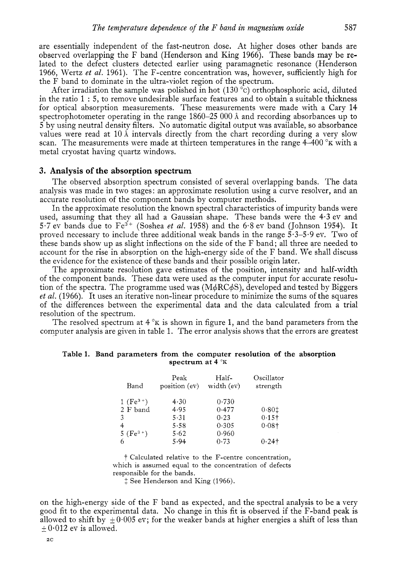are essentially independent of the fast-neutron dose. At higher doses other bands are observed overlapping the F band (Henderson and King 1966). These bands may be related to the defect clusters detected earlier using paramagnetic resonance (Henderson 1966, Wertz *et al.* 1961). The F-centre concentration was, however, sufficiently high for the F band to dominate in the ultra-violet region of the spectrum.

After irradiation the sample was polished in hot  $(130 \degree c)$  orthophosphoric acid, diluted in the ratio 1 : *5,* to remove undesirable surface features and to obtain a suitable thickness for optical absorption measurements. These measurements were made with a Cary 14 spectrophotometer operating in the range 1860-25 000 **6** and recording absorbances up to 5 by using neutral density filters. No automatic digital output was available, so absorbance values were read at 10  $\AA$  intervals directly from the chart recording during a very slow scan. The measurements were made at thirteen temperatures in the range  $4-400^\circ$ K with a metal cryostat having quartz windows.

## **3. Analysis of the absorption spectrum**

The observed absorption spectrum consisted of several overlapping bands. The data analysis was made in two stages: an approximate resolution using a curve resolver, and an accurate resolution of the component bands by computer methods.

In the approximate resolution the known spectral characteristics of impurity bands were used, assuming that they all had a Gaussian shape. These bands were the 4.3 ev and *5.7* ev bands due to Fe3+ (Soshea *et al.* 1958) and the 6-8 ev band (Johnson 1954). It proved necessary to include three additional weak bands in the range  $5.3-5.9$  ev. Two of these bands show up as slight inflections on the side of the F band; all three are needed to account for the rise in absorption on the high-energy side of the F band. We shall discuss the evidence for the existence of these bands and their possible origin later.

The approximate resolution gave estimates of the position, intensity and half-width of the component bands. These data were used as the computer input for accurate resolution of the spectra. The programme used was  $(M\phi RC\phi S)$ , developed and tested by Biggers *et al.* (1966). It uses an iterative non-linear procedure to minimize the sums of the squares of the differences between the experimental data and the data calculated from a trial resolution of the spectrum.

The resolved spectrum at  $4^\circ$ K is shown in figure 1, and the band parameters from the computer analysis are given in table 1. The error analysis shows that the errors are greatest

#### **Table 1. Band parameters from the computer resolution of the absorption spectrum at 4**  $\mathrm{K}$

| Band          | Peak<br>position (ev) | Half-<br>width (ev) | Oscillator<br>strength |
|---------------|-----------------------|---------------------|------------------------|
| 1 $(Fe^{3+})$ | 4.30                  | 0.730               |                        |
| 2 F band      | 4.95                  | 0.477               | 0.801                  |
| 3             | 5.31                  | 0.23                | $0.15\dagger$          |
| 4             | 5.58                  | 0.305               | 0.081                  |
| $5(Fe^{3})$   | 5.62                  | 0.960               |                        |
| 6             | 5.94                  | 0.73                | $0.24$ †               |

t Calculated relative to the F-centre concentration, which is assumed equal to the concentration of defects responsible for the bands.

 $\ddagger$  See Henderson and King (1966).

on the high-energy side of the F band as expected, and the spectral analysis to be a very good fit to the experimental data. No change in this fit is observed if the F-band peak is allowed to shift by  $\pm 0.005$  ev; for the weaker bands at higher energies a shift of less than  $+0.012$  ev is allowed.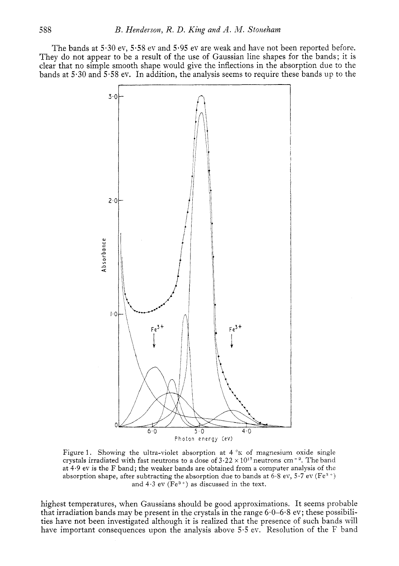The bands at *5.30* ev, 5.58 ev and 5.95 ev are weak and have not been reported before. They do not appear to be a result of the use of Gaussian line shapes for the bands; it is clear that no simple smooth shape would give the inflections in the absorption due to the bands at *5.30* and *5.58* ev. In addition, the analysis seems to require these bands up to the



Figure 1. Showing the ultra-violet absorption at  $4 \times K$  of magnesium oxide single crystals irradiated with fast neutrons to a dose of  $3.22 \times 10^{17}$  neutrons cm<sup>-2</sup>. The band at 4.9 ev is the F band; the weaker bands are obtained from a computer analysis of the absorption shape, after subtracting the absorption due to bands at 6.8 ev, 5.7 ev (Fe<sup>3+</sup>) and  $4.3$  ev (Fe<sup>3+</sup>) as discussed in the text.

highest temperatures, when Gaussians should be good approximations. It seems probable that irradiation bands may be present in the crystals in the range  $6.0-6.8$  ev; these possibilities have not been investigated although it is realized that the presence of such bands will have important consequences upon the analysis above 5.5 ev. Resolution of the F band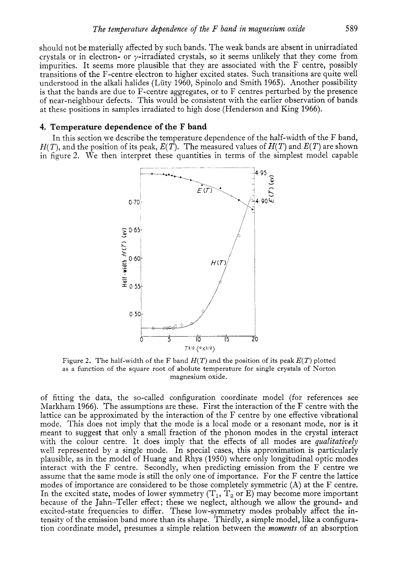should not be materially affected by such bands. The weak bands are absent in unirradiated crystals or in electron- or  $\nu$ -irradiated crystals, so it seems unlikely that they come from impurities. It seems more plausible that they are associated with the F centre, possibly transitions of the F-centre electron to higher excited states. Such transitions are quite well understood in the alkali halides (Lüty 1960, Spinolo and Smith 1965). Another possibility is that the bands are due to F-centre aggregates, or to F centres perturbed by the presence of near-neighbour defects. This would be consistent with the earlier observation of bands at these positions in samples irradiated to high dose (Henderson and King 1966).

### **4. Temperature dependence of the F band**

In this section we describe the temperature dependence of the half-width of the F band,  $H(T)$ , and the position of its peak,  $E(T)$ . The measured values of  $H(T)$  and  $E(T)$  are shown in figure 2. We then interpret these quantities in terms of the simplest model capable



Figure *2.* The half-width of the F band *H(T)* and the position of its peak *E(T)* plotted as a function of the square root of abolute temperature for single crystals of Norton magnesium oxide.

of fitting the data, the so-called configuration coordinate model (for references see Markham 1966). The assumptions are these. First the interaction of the F centre with the lattice can be approximated by the interaction of the F centre by one effective vibrational mode. This does not imply that the mode is a local mode or a resonant mode, nor is it meant to suggest that only a small fraction of the phonon modes in the crystal interact with the colour centre. It does imply that the effects of all modes are *qualitaticely*  well represented by a single mode. In special cases, this approximation is particularly plausible, as in the model of Huang and Rhys (1950) where only longitudinal optic modes interact with the F centre. Secondly, when predicting emission from the F centre we assume that the same mode is still the only one of importance. For the F centre the lattice modes of importance are considered to be those completely symmetric **(A)** at the F centre. In the excited state, modes of lower symmetry  $(T_1, T_2 \text{ or } E)$  may become more important because of the Jahn-Teller effect; these we neglect, although we allow the ground- and excited-state frequencies to differ. These low-symmetry modes probably affect the intensity of the emission band more than its shape. Thirdly, a simple model, like a configuration coordinate model, presumes a simple relation between the *moments* of an absorption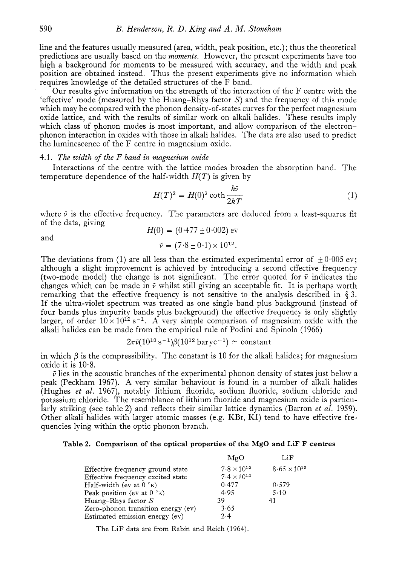line and the features usually measured (area, width, peak position, etc.) ; thus the theoretical predictions are usually based on the *moments.* However, the present experiments have too high a background for moments to be measured with accuracy, and the width and peak position are obtained instead. Thus the present experiments give no information which requires knowledge of the detailed structures of the F band.

Our results give information on the strength of the interaction of the F centre with the 'effective' mode (measured by the Huang-Rhys factor *5')* and the frequency of this mode which may be compared with the phonon density-of-states curves for the perfect magnesium oxide lattice, and with the results of similar work on alkali halides. These results imply which class of phonon modes is most important, and allow comparison of the electronphonon interaction in oxides with those in alkali halides. The data are also used to predict the luminescence of the F centre in magnesium oxide.

#### 4.1. *The width of the F band in magnesium oxide*

temperature dependence of the half-width  $H(T)$  is given by Interactions of the centre with the lattice modes broaden the absorption band. The

$$
H(T)^2 = H(0)^2 \coth \frac{h\bar{\nu}}{2kT}
$$
 (1)

where  $\bar{\nu}$  is the effective frequency. The parameters are deduced from a least-squares fit of the data, giving

$$
H(0) = (0.477 \pm 0.002) \text{ eV}
$$

and

$$
\bar{\nu} = (7.8 \pm 0.1) \times 10^{12}.
$$

The deviations from (1) are all less than the estimated experimental error of  $+0.005$  ev; although a slight improvement is achieved by introducing a second effective frequency (two-mode model) the change is not significant. The error quoted for  $\bar{\nu}$  indicates the changes which can be made in  $\bar{\nu}$  whilst still giving an acceptable fit. It is perhaps worth remarking that the effective frequency is not sensitive to the analysis described in § *3.*  If the ultra-violet spectrum was treated as one single band plus background (instead of four bands plus impurity bands plus background) the effective frequency is only slightly larger, of order  $10 \times 10^{12}$  s<sup>-1</sup>. A very simple comparison of magnesium oxide with the alkali halides can be made from the empirical rule of Podini and Spinolo (1966)<br>  $2\pi\tilde{\nu}(10^{13} \text{ s}^{-1})\beta(10^{12} \text{ barye}^{-1}) \simeq \text{constant}$ 

$$
2\pi \tilde{\nu} (10^{13} \text{ s}^{-1}) \beta (10^{12} \text{ barye}^{-1}) \simeq \text{constant}
$$

in which  $\beta$  is the compressibility. The constant is 10 for the alkali halides; for magnesium oxide it is  $10.8$ .

 $\bar{\nu}$  lies in the acoustic branches of the experimental phonon density of states just below a peak (Peckham 1967). **A** very similar behaviour is found in a number of alkali halides (Hughes *et al.* 1967)) notably lithium fluoride, sodium fluoride, sodium chloride and potassium chloride. The resemblance of lithium fluoride and magnesium oxide is particularly striking (see table 2) and reflects their similar lattice dynamics (Barron *et al.* 1959). Other alkali halides with larger atomic masses (e.g. KBr, KI) tend to have effective frequencies lying within the optic phonon branch.

### **Table 2. Comparison of the optical properties of the MgO and LiF F centres**

|                                     | MgO                  | LiF                   |
|-------------------------------------|----------------------|-----------------------|
| Effective frequency ground state    | $7.8 \times 10^{12}$ | $8.65 \times 10^{12}$ |
| Effective frequency excited state   | $7.4 \times 10^{12}$ |                       |
| Half-width (ev at $0^{\circ}$ K)    | 0.477                | 0.579                 |
| Peak position (ev at $0^{\circ}$ K) | 4.95                 | 5.10                  |
| Huang-Rhys factor $S$               | 39                   | 41                    |
| Zero-phonon transition energy (ev)  | 3.65                 |                       |
| Estimated emission energy (ev)      | 2.4                  |                       |

The LiF data are from Rabin and Reich (1964).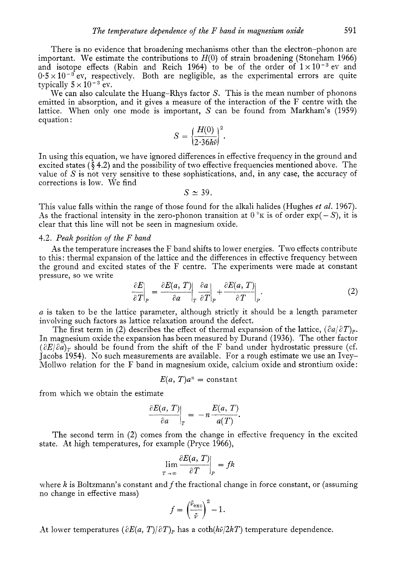There is no evidence that broadening mechanisms other than the electron-phonon are important. We estimate the contributions to  $H(0)$  of strain broadening (Stoneham 1966) and isotope effects (Rabin and Reich 1964) to be of the order of  $1 \times 10^{-3}$  ev and  $0.5 \times 10^{-3}$  ev, respectively. Both are negligible, as the experimental errors are quite typically  $5 \times 10^{-3}$  ev.

We can also calculate the Huang-Rhys factor *S.* This is the mean number of phonons emitted in absorption, and it gives a measure of the interaction of the F centre with the lattice. When only one mode is important, *S* can be found from Markham's (1959) equation : *Heta* interpretently the set of the interportant, S can be  $S = \left(\frac{H(0)}{2 \cdot 36h\bar{v}}\right)^2$ .

$$
S=\bigg\{\frac{H(0)}{2\cdot 36h\bar{v}}\bigg\}^2.
$$

In using this equation, we have ignored differences in effective frequency in the ground and excited states ( $\hat{\zeta}$  4.2) and the possibility of two effective frequencies mentioned above. The value of *S* is not very sensitive to these sophistications, and, in any case, the accuracy of corrections is low. We find

 $S \simeq 39$ .

This value falls within the range of those found for the alkali halides (Hughes *et al.* 1967). As the fractional intensity in the zero-phonon transition at  $0^\circ \text{K}$  is of order  $\exp(-S)$ , it is clear that this line will not be seen in magnesium oxide.

## 4.2. *Peak position* of *the F band*

As the temperature increases the F band shifts to lower energies. Two effects contribute to this: thermal expansion of the lattice and the differences in effective frequency between the ground and excited states of the F centre. The experiments were made at constant pressure, so we write

$$
\left. \frac{\partial E}{\partial T} \right|_{P} = \left. \frac{\partial E(a, T)}{\partial a} \right|_{T} \left. \frac{\partial a}{\partial T} \right|_{P} + \left. \frac{\partial E(a, T)}{\partial T} \right|_{P} . \tag{2}
$$

*n* is taken to be the lattice parameter, although strictly it should be a length parameter involving such factors as lattice relaxation around the defect.

The first term in (2) describes the effect of thermal expansion of the lattice,  $(\partial a/\partial T)_{\rm P}$ . In magnesium oxide the expansion has been measured by Durand (1936). The other factor  $(\partial E/\partial a)_T$  should be found from the shift of the F band under hydrostatic pressure (cf. Jacobs 1954). KO such measurements are available. For a rough estimate we use an Ivey-Mollwo relation for the F band in magnesium oxide, calcium oxide and strontium oxide:

$$
E(a, T)a^n = \text{constant}
$$

from which we obtain the estimate

$$
\left.\frac{\partial E(a, T)}{\partial a}\right|_{T} = -n \frac{E(a, T)}{a(T)}.
$$

The second term in (2) comes from the change in effective frequency in the excited state. At high temperatures, for example (Pryce 1966),

$$
\lim_{T \to \infty} \frac{\partial E(a, T)}{\partial T} \bigg|_P = f k
$$

where *K* is Boltzmann's constant and *f* the fractional change in force constant, or (assuming no change in effective mass)

$$
f = \left(\frac{\bar{\nu}_{\text{exc}}}{\bar{\nu}}\right)^2 - 1.
$$

At lower temperatures  $(\partial E(a, T)/\partial T)_P$  has a coth( $h\bar{\nu}/2kT$ ) temperature dependence.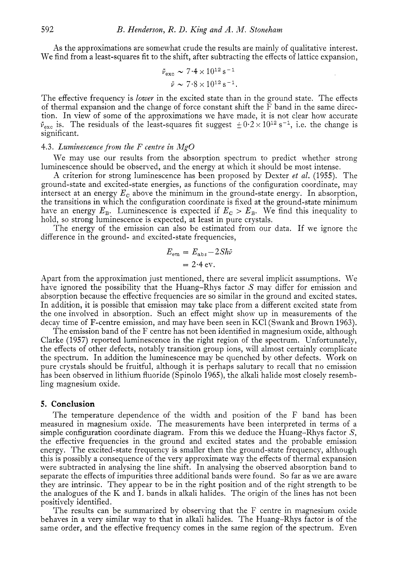As the approximations are somewhat crude the results are mainly of qualitative interest. We find from a least-squares fit to the shift, after subtracting the effects of lattice expansion,

$$
\bar{\nu}_{\text{exc}} \sim 7.4 \times 10^{12} \,\text{s}^{-1}
$$

$$
\bar{\nu} \sim 7.8 \times 10^{12} \,\text{s}^{-1}.
$$

The effective frequency is *lower* in the excited state than in the ground state. The effects of thermal expansion and the change of force constant shift the  $\overline{F}$  band in the same direction. In view of some of the approximations we have made, it is not clear how accurate tion. In view of some of the approximations we have made, it is not clear now accurate  $\bar{v}_{\text{exc}}$  is. The residuals of the least-squares fit suggest  $\pm 0.2 \times 10^{12}$  s<sup>-1</sup>, i.e. the change is significant.

#### 4.3. *Luminescence* from *the F centre in MgO*

We may use our results from the absorption spectrum to predict whether strong luminescence should be observed, and the energy at which it should be most intense,

A criterion for strong luminescence has been proposed by Dexter *et al.* (1955). The ground-state and excited-state energies, as functions of the configuration coordinate, may intersect at an energy *E,* above the minimum in the ground-state energy. In absorption, the transitions in which the configuration coordinate is fixed at the ground-state minimum have an energy  $E_{\rm B}$ . Luminescence is expected if  $E_{\rm C} > E_{\rm B}$ . We find this inequality to hold, so strong luminescence is expected, at least in pure crystals.

The energy of the emission can also be estimated from our data. If we ignore the difference in the ground- and excited-state frequencies,

$$
E_{\rm em} = E_{\rm abs} - 2Sh\bar{\nu}
$$
  
= 2.4 eV.

Apart from the approximation just mentioned, there are several implicit assumptions. We have ignored the possibility that the Huang-Rhys factor *S* may differ for emission and absorption because the effective frequencies are so similar in the ground and excited states. In addition, it is possible that emission may take place from a different excited state from the one involved in absorption. Such an effect might show up in measurements of the decay time of F-centre emission, and may have been seen in KCl (Swank and Brown 1963).

The emission band of the F centre has not been identified in magnesium oxide, although Clarke (1957) reported luminescence in the right region of the spectrum. Cnfortunately, the effects of other defects, notably transition group ions, will almost certainly complicate the spectrum. In addition the luminescence may be quenched by other defects. Work on pure crystals should be fruitful, although it is perhaps salutary to recall that no emission has been observed in lithium fluoride (Spinolo 1965), the alkali halide most closely resembling magnesium oxide.

#### *5.* **Conclusion**

The temperature dependence of the width and position of the F band has been measured in magnesium oxide. The measurements have been interpreted in terms of a simple configuration coordinate diagram. From this we deduce the Huang-Rhys factor *S,*  the effective frequencies in the ground and excited states and the probable emission energy. The excited-state frequency is smaller then the ground-state frequency, although this is possibly a consequence of the very approximate way the effects of thermal expansion were subtracted in analysing the line shift. In analysing the observed absorption band to separate the effects of impurities three additional bands were found. So far as we are aware they are intrinsic. They appear to be in the right position and of the right strength to be the analogues of the K and I, bands in alkali halides. The origin of the lines has not been positively identified.

The results can be summarized by observing that the F centre in magnesium oxide behaves in a very similar way to that in alkali halides. The Huang-Rhys factor is of the same order, and the effective frequency comes in the same region of the spectrum. Even